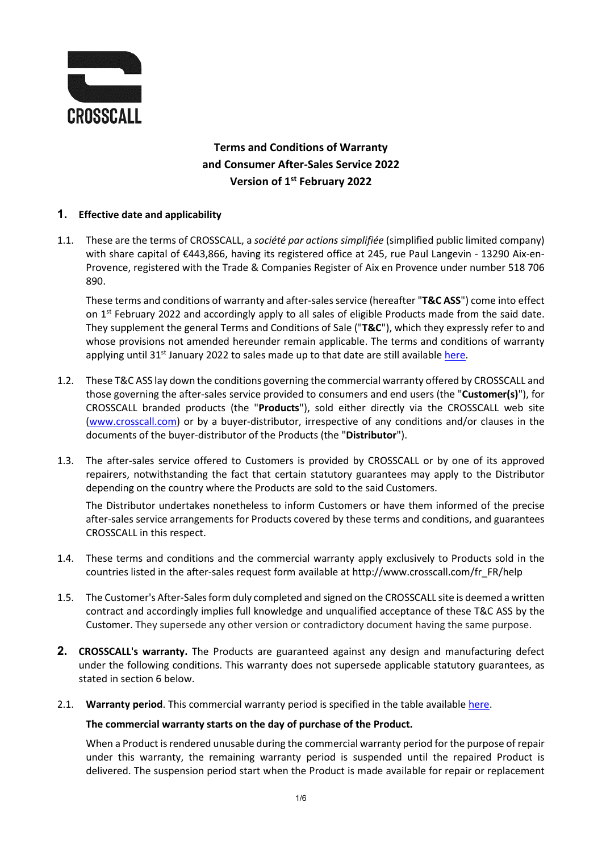

# **Terms and Conditions of Warranty and Consumer After-Sales Service 2022 Version of 1st February 2022**

## **1. Effective date and applicability**

1.1. These are the terms of CROSSCALL, a *société par actions simplifiée* (simplified public limited company) with share capital of €443,866, having its registered office at 245, rue Paul Langevin - 13290 Aix-en-Provence, registered with the Trade & Companies Register of Aix en Provence under number 518 706 890.

These terms and conditions of warranty and after-sales service (hereafter "**T&C ASS**") come into effect on  $1<sup>st</sup>$  February 2022 and accordingly apply to all sales of eligible Products made from the said date. They supplement the general Terms and Conditions of Sale ("**T&C**"), which they expressly refer to and whose provisions not amended hereunder remain applicable. The terms and conditions of warranty applying until 31 $<sup>st</sup>$  January 2022 to sales made up to that date are still available [here.](https://docs.crosscall.com/public/OTHER/LEGAL/CG/SAV/CG-SAV-EN-2021.pdf)</sup>

- 1.2. These T&C ASS lay down the conditions governing the commercial warranty offered by CROSSCALL and those governing the after-sales service provided to consumers and end users (the "**Customer(s)**"), for CROSSCALL branded products (the "**Products**"), sold either directly via the CROSSCALL web site [\(www.crosscall.com\)](http://www.crosscall.com/) or by a buyer-distributor, irrespective of any conditions and/or clauses in the documents of the buyer-distributor of the Products (the "**Distributor**").
- 1.3. The after-sales service offered to Customers is provided by CROSSCALL or by one of its approved repairers, notwithstanding the fact that certain statutory guarantees may apply to the Distributor depending on the country where the Products are sold to the said Customers.

The Distributor undertakes nonetheless to inform Customers or have them informed of the precise after-sales service arrangements for Products covered by these terms and conditions, and guarantees CROSSCALL in this respect.

- 1.4. These terms and conditions and the commercial warranty apply exclusively to Products sold in the countries listed in the after-sales request form available at http://www.crosscall.com/fr\_FR/help
- 1.5. The Customer's After-Sales form duly completed and signed on the CROSSCALL site is deemed a written contract and accordingly implies full knowledge and unqualified acceptance of these T&C ASS by the Customer. They supersede any other version or contradictory document having the same purpose.
- **2. CROSSCALL's warranty.** The Products are guaranteed against any design and manufacturing defect under the following conditions. This warranty does not supersede applicable statutory guarantees, as stated in section [6](#page-5-0) below.
- 2.1. **Warranty period**. This commercial warranty period is specified in the table available [here.](https://docs.crosscall.com/public/OTHER/LEGAL/CG/SAV/CROSSCALL-Garanties-Produits-2022-International.pdf)

#### **The commercial warranty starts on the day of purchase of the Product.**

When a Product is rendered unusable during the commercial warranty period for the purpose of repair under this warranty, the remaining warranty period is suspended until the repaired Product is delivered. The suspension period start when the Product is made available for repair or replacement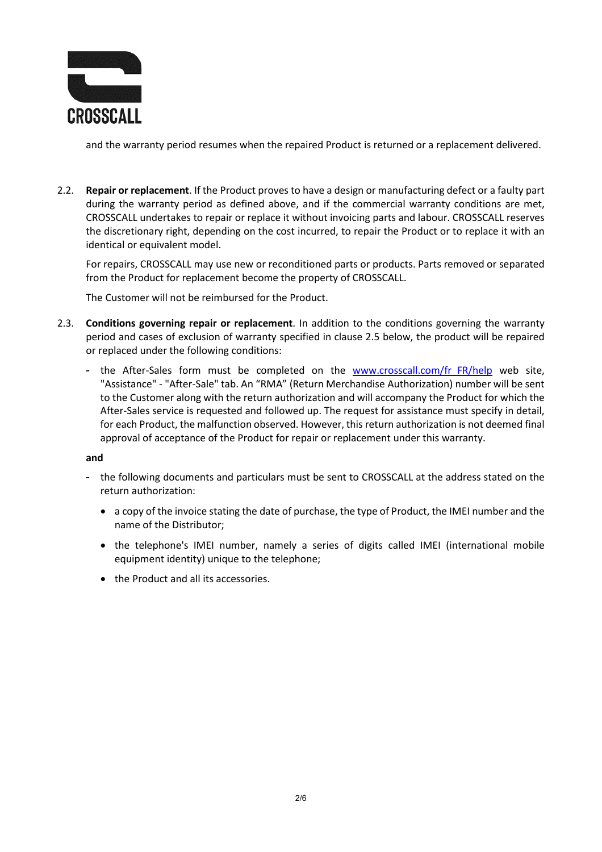

and the warranty period resumes when the repaired Product is returned or a replacement delivered.

2.2. **Repair or replacement**. If the Product proves to have a design or manufacturing defect or a faulty part during the warranty period as defined above, and if the commercial warranty conditions are met, CROSSCALL undertakes to repair or replace it without invoicing parts and labour. CROSSCALL reserves the discretionary right, depending on the cost incurred, to repair the Product or to replace it with an identical or equivalent model.

For repairs, CROSSCALL may use new or reconditioned parts or products. Parts removed or separated from the Product for replacement become the property of CROSSCALL.

The Customer will not be reimbursed for the Product.

- 2.3. **Conditions governing repair or replacement**. In addition to the conditions governing the warranty period and cases of exclusion of warranty specified in clause 2.5 below, the product will be repaired or replaced under the following conditions:
	- the After-Sales form must be completed on the [www.crosscall.com/fr\\_FR/help](http://www.crosscall.com/fr_FR/help) web site, "Assistance" - "After-Sale" tab. An "RMA" (Return Merchandise Authorization) number will be sent to the Customer along with the return authorization and will accompany the Product for which the After-Sales service is requested and followed up. The request for assistance must specify in detail, for each Product, the malfunction observed. However, this return authorization is not deemed final approval of acceptance of the Product for repair or replacement under this warranty.

**and**

- the following documents and particulars must be sent to CROSSCALL at the address stated on the return authorization:
	- a copy of the invoice stating the date of purchase, the type of Product, the IMEI number and the name of the Distributor;
	- the telephone's IMEI number, namely a series of digits called IMEI (international mobile equipment identity) unique to the telephone;
	- the Product and all its accessories.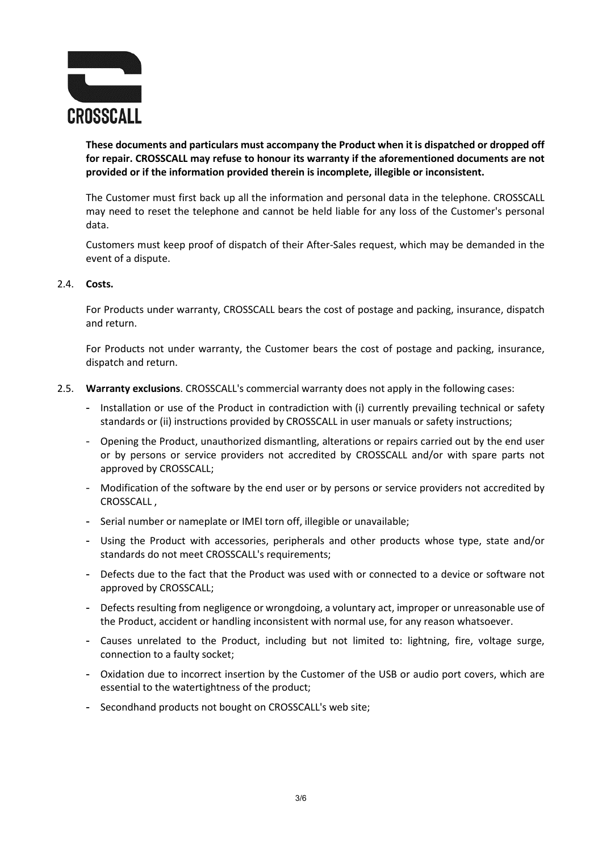

**These documents and particulars must accompany the Product when it is dispatched or dropped off for repair. CROSSCALL may refuse to honour its warranty if the aforementioned documents are not provided or if the information provided therein is incomplete, illegible or inconsistent.**

The Customer must first back up all the information and personal data in the telephone. CROSSCALL may need to reset the telephone and cannot be held liable for any loss of the Customer's personal data.

Customers must keep proof of dispatch of their After-Sales request, which may be demanded in the event of a dispute.

#### 2.4. **Costs.**

For Products under warranty, CROSSCALL bears the cost of postage and packing, insurance, dispatch and return.

For Products not under warranty, the Customer bears the cost of postage and packing, insurance, dispatch and return.

- 2.5. **Warranty exclusions**. CROSSCALL's commercial warranty does not apply in the following cases:
	- Installation or use of the Product in contradiction with (i) currently prevailing technical or safety standards or (ii) instructions provided by CROSSCALL in user manuals or safety instructions;
	- Opening the Product, unauthorized dismantling, alterations or repairs carried out by the end user or by persons or service providers not accredited by CROSSCALL and/or with spare parts not approved by CROSSCALL;
	- Modification of the software by the end user or by persons or service providers not accredited by CROSSCALL ,
	- Serial number or nameplate or IMEI torn off, illegible or unavailable;
	- Using the Product with accessories, peripherals and other products whose type, state and/or standards do not meet CROSSCALL's requirements;
	- Defects due to the fact that the Product was used with or connected to a device or software not approved by CROSSCALL;
	- Defects resulting from negligence or wrongdoing, a voluntary act, improper or unreasonable use of the Product, accident or handling inconsistent with normal use, for any reason whatsoever.
	- Causes unrelated to the Product, including but not limited to: lightning, fire, voltage surge, connection to a faulty socket;
	- Oxidation due to incorrect insertion by the Customer of the USB or audio port covers, which are essential to the watertightness of the product;
	- Secondhand products not bought on CROSSCALL's web site;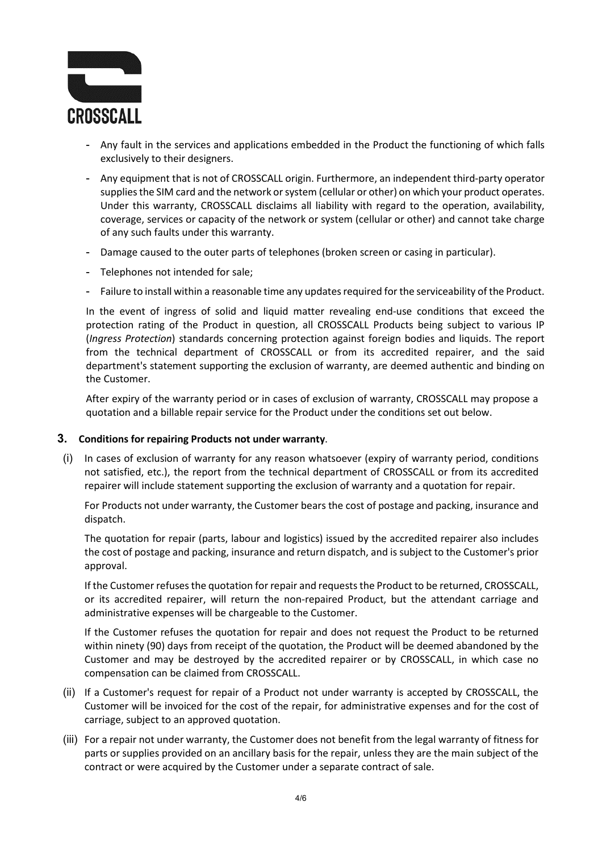

- Any fault in the services and applications embedded in the Product the functioning of which falls exclusively to their designers.
- Any equipment that is not of CROSSCALL origin. Furthermore, an independent third-party operator supplies the SIM card and the network or system (cellular or other) on which your product operates. Under this warranty, CROSSCALL disclaims all liability with regard to the operation, availability, coverage, services or capacity of the network or system (cellular or other) and cannot take charge of any such faults under this warranty.
- Damage caused to the outer parts of telephones (broken screen or casing in particular).
- Telephones not intended for sale;
- Failure to install within a reasonable time any updates required for the serviceability of the Product.

In the event of ingress of solid and liquid matter revealing end-use conditions that exceed the protection rating of the Product in question, all CROSSCALL Products being subject to various IP (*Ingress Protection*) standards concerning protection against foreign bodies and liquids. The report from the technical department of CROSSCALL or from its accredited repairer, and the said department's statement supporting the exclusion of warranty, are deemed authentic and binding on the Customer.

After expiry of the warranty period or in cases of exclusion of warranty, CROSSCALL may propose a quotation and a billable repair service for the Product under the conditions set out below.

#### **3. Conditions for repairing Products not under warranty**.

(i) In cases of exclusion of warranty for any reason whatsoever (expiry of warranty period, conditions not satisfied, etc.), the report from the technical department of CROSSCALL or from its accredited repairer will include statement supporting the exclusion of warranty and a quotation for repair.

For Products not under warranty, the Customer bears the cost of postage and packing, insurance and dispatch.

The quotation for repair (parts, labour and logistics) issued by the accredited repairer also includes the cost of postage and packing, insurance and return dispatch, and is subject to the Customer's prior approval.

If the Customer refuses the quotation for repair and requests the Product to be returned, CROSSCALL, or its accredited repairer, will return the non-repaired Product, but the attendant carriage and administrative expenses will be chargeable to the Customer.

If the Customer refuses the quotation for repair and does not request the Product to be returned within ninety (90) days from receipt of the quotation, the Product will be deemed abandoned by the Customer and may be destroyed by the accredited repairer or by CROSSCALL, in which case no compensation can be claimed from CROSSCALL.

- (ii) If a Customer's request for repair of a Product not under warranty is accepted by CROSSCALL, the Customer will be invoiced for the cost of the repair, for administrative expenses and for the cost of carriage, subject to an approved quotation.
- (iii) For a repair not under warranty, the Customer does not benefit from the legal warranty of fitness for parts or supplies provided on an ancillary basis for the repair, unless they are the main subject of the contract or were acquired by the Customer under a separate contract of sale.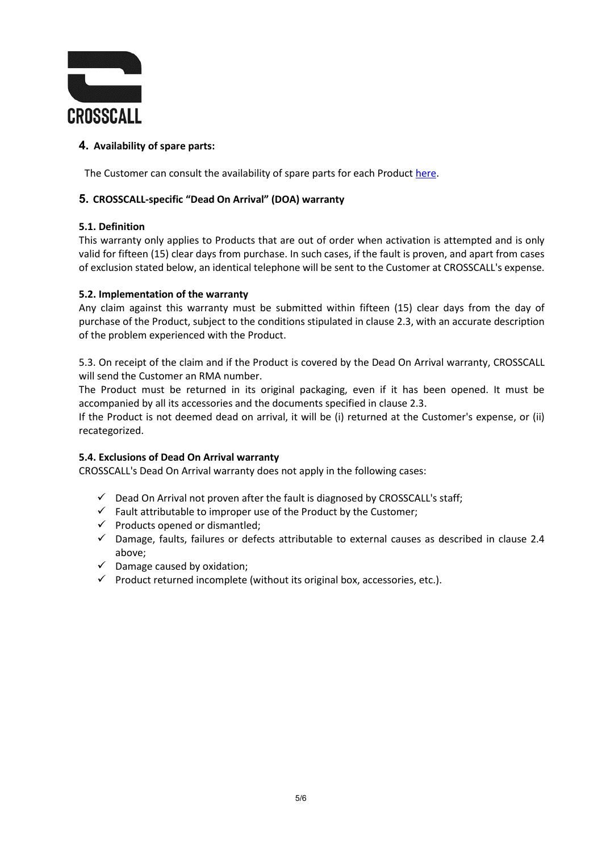

# **4. Availability of spare parts:**

The Customer can consult the availability of spare parts for each Produc[t here.](https://docs.crosscall.com/public/OTHER/LEGAL/CG/SAV/CROSSCALL-Garanties-Produits-2022-International.pdf)

# **5. CROSSCALL-specific "Dead On Arrival" (DOA) warranty**

## **5.1. Definition**

This warranty only applies to Products that are out of order when activation is attempted and is only valid for fifteen (15) clear days from purchase. In such cases, if the fault is proven, and apart from cases of exclusion stated below, an identical telephone will be sent to the Customer at CROSSCALL's expense.

#### **5.2. Implementation of the warranty**

Any claim against this warranty must be submitted within fifteen (15) clear days from the day of purchase of the Product, subject to the conditions stipulated in clause 2.3, with an accurate description of the problem experienced with the Product.

5.3. On receipt of the claim and if the Product is covered by the Dead On Arrival warranty, CROSSCALL will send the Customer an RMA number.

The Product must be returned in its original packaging, even if it has been opened. It must be accompanied by all its accessories and the documents specified in clause 2.3.

If the Product is not deemed dead on arrival, it will be (i) returned at the Customer's expense, or (ii) recategorized.

## **5.4. Exclusions of Dead On Arrival warranty**

CROSSCALL's Dead On Arrival warranty does not apply in the following cases:

- $\checkmark$  Dead On Arrival not proven after the fault is diagnosed by CROSSCALL's staff;
- $\checkmark$  Fault attributable to improper use of the Product by the Customer;
- $\checkmark$  Products opened or dismantled;
- $\checkmark$  Damage, faults, failures or defects attributable to external causes as described in clause 2.4 above;
- $\checkmark$  Damage caused by oxidation;
- $\checkmark$  Product returned incomplete (without its original box, accessories, etc.).